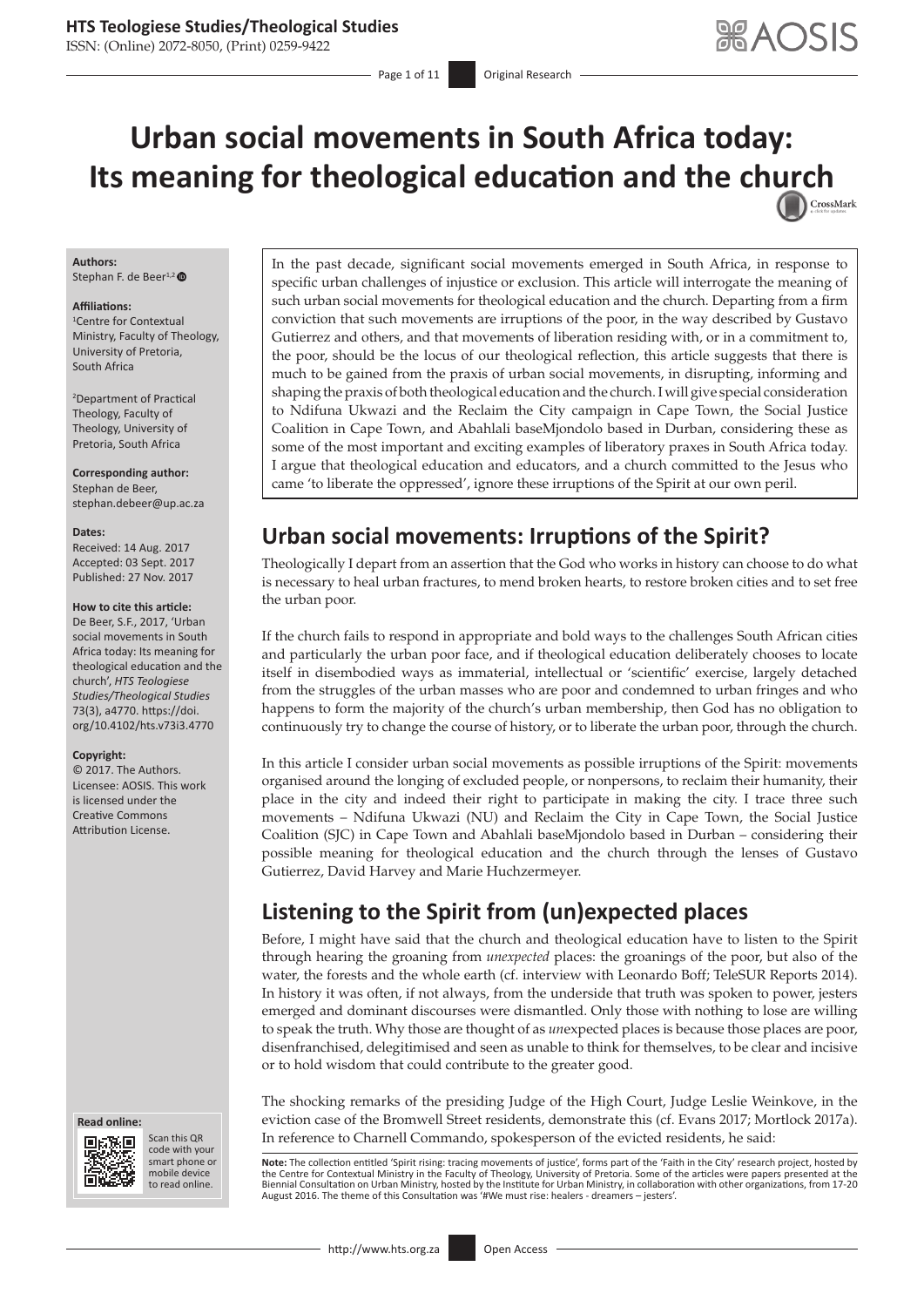#### **HTS Teologiese Studies/Theological Studies**

ISSN: (Online) 2072-8050, (Print) 0259-9422

- Page 1 of 11 **Original Research** 

# **Urban social movements in South Africa today: Its meaning for theological education and the ch[urch](http://crossmark.crossref.org/dialog/?doi=10.4102/hts.v73i3.4770=pdf&date_stamp=2017-11-27)**

#### **Authors:**

Stephan F. de Beer<sup>1,2</sup>

#### **Affiliations:**

1 Centre for Contextual Ministry, Faculty of Theology, University of Pretoria, South Africa

2 Department of Practical Theology, Faculty of Theology, University of Pretoria, South Africa

**Corresponding author:** Stephan de Beer, [stephan.debeer@up.ac.za](mailto:stephan.debeer@up.ac.za)

#### **Dates:**

Received: 14 Aug. 2017 Accepted: 03 Sept. 2017 Published: 27 Nov. 2017

#### **How to cite this article:**

De Beer, S.F., 2017, 'Urban social movements in South Africa today: Its meaning for theological education and the church', *HTS Teologiese Studies/Theological Studies* 73(3), a4770. [https://doi.](https://doi.org/10.4102/hts.v73i3.4770) [org/10.4102/hts.v73i3.4770](https://doi.org/10.4102/hts.v73i3.4770)

#### **Copyright:**

© 2017. The Authors. Licensee: AOSIS. This work is licensed under the Creative Commons Attribution License.

#### **Read online: Read**



Scan this QR code with your Scan this QR<br>code with your<br>smart phone or<br>mobile device mobile device to read online. to read online.

In the past decade, significant social movements emerged in South Africa, in response to specific urban challenges of injustice or exclusion. This article will interrogate the meaning of such urban social movements for theological education and the church. Departing from a firm conviction that such movements are irruptions of the poor, in the way described by Gustavo Gutierrez and others, and that movements of liberation residing with, or in a commitment to, the poor, should be the locus of our theological reflection, this article suggests that there is much to be gained from the praxis of urban social movements, in disrupting, informing and shaping the praxis of both theological education and the church. I will give special consideration to Ndifuna Ukwazi and the Reclaim the City campaign in Cape Town, the Social Justice Coalition in Cape Town, and Abahlali baseMjondolo based in Durban, considering these as some of the most important and exciting examples of liberatory praxes in South Africa today. I argue that theological education and educators, and a church committed to the Jesus who came 'to liberate the oppressed', ignore these irruptions of the Spirit at our own peril.

# **Urban social movements: Irruptions of the Spirit?**

Theologically I depart from an assertion that the God who works in history can choose to do what is necessary to heal urban fractures, to mend broken hearts, to restore broken cities and to set free the urban poor.

If the church fails to respond in appropriate and bold ways to the challenges South African cities and particularly the urban poor face, and if theological education deliberately chooses to locate itself in disembodied ways as immaterial, intellectual or 'scientific' exercise, largely detached from the struggles of the urban masses who are poor and condemned to urban fringes and who happens to form the majority of the church's urban membership, then God has no obligation to continuously try to change the course of history, or to liberate the urban poor, through the church.

In this article I consider urban social movements as possible irruptions of the Spirit: movements organised around the longing of excluded people, or nonpersons, to reclaim their humanity, their place in the city and indeed their right to participate in making the city. I trace three such movements – Ndifuna Ukwazi (NU) and Reclaim the City in Cape Town, the Social Justice Coalition (SJC) in Cape Town and Abahlali baseMjondolo based in Durban – considering their possible meaning for theological education and the church through the lenses of Gustavo Gutierrez, David Harvey and Marie Huchzermeyer.

# **Listening to the Spirit from (un)expected places**

Before, I might have said that the church and theological education have to listen to the Spirit through hearing the groaning from *unexpected* places: the groanings of the poor, but also of the water, the forests and the whole earth (cf. interview with Leonardo Boff; TeleSUR Reports 2014). In history it was often, if not always, from the underside that truth was spoken to power, jesters emerged and dominant discourses were dismantled. Only those with nothing to lose are willing to speak the truth. Why those are thought of as *un*expected places is because those places are poor, disenfranchised, delegitimised and seen as unable to think for themselves, to be clear and incisive or to hold wisdom that could contribute to the greater good.

The shocking remarks of the presiding Judge of the High Court, Judge Leslie Weinkove, in the eviction case of the Bromwell Street residents, demonstrate this (cf. Evans 2017; Mortlock 2017a). In reference to Charnell Commando, spokesperson of the evicted residents, he said:

**Note:** The collection entitled 'Spirit rising: tracing movements of justice', forms part of the 'Faith in the City' research project, hosted by the Centre for Contextual Ministry in the Faculty of Theology, University of Pretoria. Some of the articles were papers presented at the<br>Biennial Consultation on Urban Ministry, hosted by the Institute for Urban Ministry,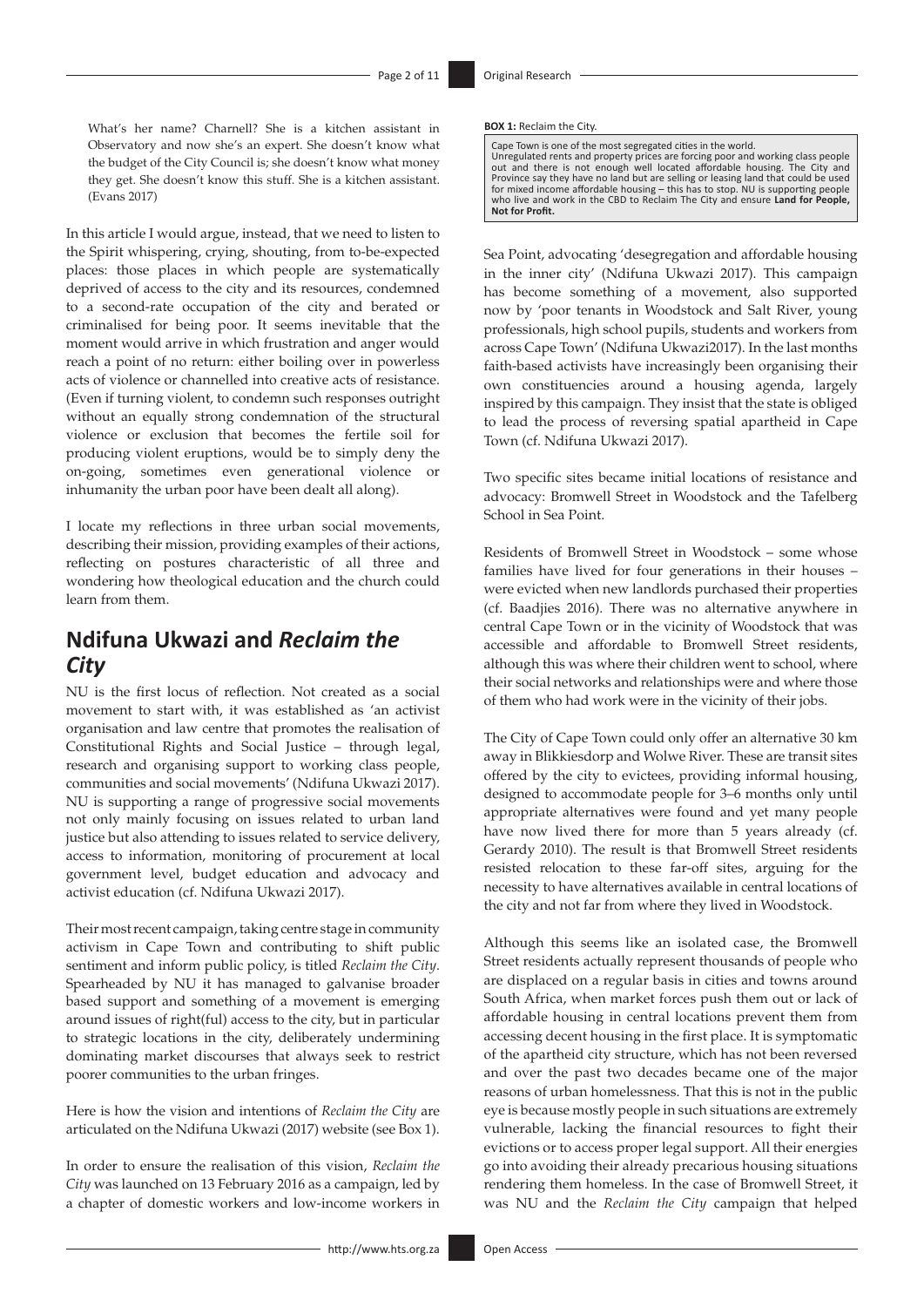What's her name? Charnell? She is a kitchen assistant in Observatory and now she's an expert. She doesn't know what the budget of the City Council is; she doesn't know what money they get. She doesn't know this stuff. She is a kitchen assistant. (Evans 2017)

In this article I would argue, instead, that we need to listen to the Spirit whispering, crying, shouting, from to-be-expected places: those places in which people are systematically deprived of access to the city and its resources, condemned to a second-rate occupation of the city and berated or criminalised for being poor. It seems inevitable that the moment would arrive in which frustration and anger would reach a point of no return: either boiling over in powerless acts of violence or channelled into creative acts of resistance. (Even if turning violent, to condemn such responses outright without an equally strong condemnation of the structural violence or exclusion that becomes the fertile soil for producing violent eruptions, would be to simply deny the on-going, sometimes even generational violence or inhumanity the urban poor have been dealt all along).

I locate my reflections in three urban social movements, describing their mission, providing examples of their actions, reflecting on postures characteristic of all three and wondering how theological education and the church could learn from them.

### **Ndifuna Ukwazi and** *Reclaim the City*

NU is the first locus of reflection. Not created as a social movement to start with, it was established as 'an activist organisation and law centre that promotes the realisation of Constitutional Rights and Social Justice – through legal, research and organising support to working class people, communities and social movements' (Ndifuna Ukwazi 2017). NU is supporting a range of progressive social movements not only mainly focusing on issues related to urban land justice but also attending to issues related to service delivery, access to information, monitoring of procurement at local government level, budget education and advocacy and activist education (cf. Ndifuna Ukwazi 2017).

Their most recent campaign, taking centre stage in community activism in Cape Town and contributing to shift public sentiment and inform public policy, is titled *Reclaim the City*. Spearheaded by NU it has managed to galvanise broader based support and something of a movement is emerging around issues of right(ful) access to the city, but in particular to strategic locations in the city, deliberately undermining dominating market discourses that always seek to restrict poorer communities to the urban fringes.

Here is how the vision and intentions of *Reclaim the City* are articulated on the Ndifuna Ukwazi (2017) website (see Box 1).

In order to ensure the realisation of this vision, *Reclaim the City* was launched on 13 February 2016 as a campaign, led by a chapter of domestic workers and low-income workers in Cape Town is one of the most segregated cities in the world. Unregulated rents and property prices are forcing poor and working class people<br>out and there is not enough well located affordable housing. The City and<br>Province say they have no land but are selling or leasing land that for mixed income affordable housing – this has to stop. NU is supporting people who live and work in the CBD to Reclaim The City and ensure **Land for People, Not for Profit.**

Sea Point, advocating 'desegregation and affordable housing in the inner city' (Ndifuna Ukwazi 2017). This campaign has become something of a movement, also supported now by 'poor tenants in Woodstock and Salt River, young professionals, high school pupils, students and workers from across Cape Town' (Ndifuna Ukwazi2017). In the last months faith-based activists have increasingly been organising their own constituencies around a housing agenda, largely inspired by this campaign. They insist that the state is obliged to lead the process of reversing spatial apartheid in Cape Town (cf. Ndifuna Ukwazi 2017).

Two specific sites became initial locations of resistance and advocacy: Bromwell Street in Woodstock and the Tafelberg School in Sea Point.

Residents of Bromwell Street in Woodstock – some whose families have lived for four generations in their houses – were evicted when new landlords purchased their properties (cf. Baadjies 2016). There was no alternative anywhere in central Cape Town or in the vicinity of Woodstock that was accessible and affordable to Bromwell Street residents, although this was where their children went to school, where their social networks and relationships were and where those of them who had work were in the vicinity of their jobs.

The City of Cape Town could only offer an alternative 30 km away in Blikkiesdorp and Wolwe River. These are transit sites offered by the city to evictees, providing informal housing, designed to accommodate people for 3–6 months only until appropriate alternatives were found and yet many people have now lived there for more than 5 years already (cf. Gerardy 2010). The result is that Bromwell Street residents resisted relocation to these far-off sites, arguing for the necessity to have alternatives available in central locations of the city and not far from where they lived in Woodstock.

Although this seems like an isolated case, the Bromwell Street residents actually represent thousands of people who are displaced on a regular basis in cities and towns around South Africa, when market forces push them out or lack of affordable housing in central locations prevent them from accessing decent housing in the first place. It is symptomatic of the apartheid city structure, which has not been reversed and over the past two decades became one of the major reasons of urban homelessness. That this is not in the public eye is because mostly people in such situations are extremely vulnerable, lacking the financial resources to fight their evictions or to access proper legal support. All their energies go into avoiding their already precarious housing situations rendering them homeless. In the case of Bromwell Street, it was NU and the *Reclaim the City* campaign that helped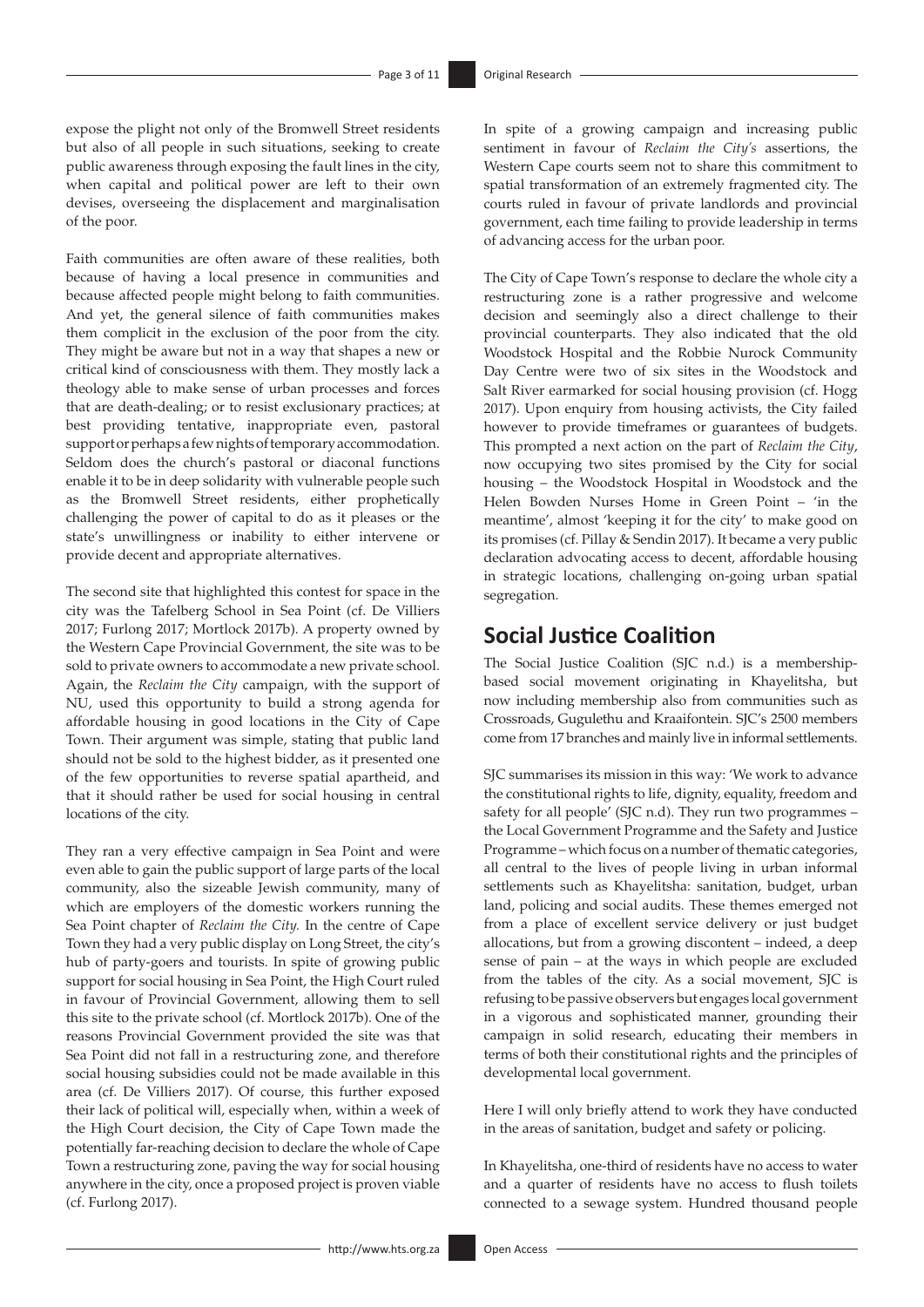expose the plight not only of the Bromwell Street residents but also of all people in such situations, seeking to create public awareness through exposing the fault lines in the city, when capital and political power are left to their own devises, overseeing the displacement and marginalisation of the poor.

Faith communities are often aware of these realities, both because of having a local presence in communities and because affected people might belong to faith communities. And yet, the general silence of faith communities makes them complicit in the exclusion of the poor from the city. They might be aware but not in a way that shapes a new or critical kind of consciousness with them. They mostly lack a theology able to make sense of urban processes and forces that are death-dealing; or to resist exclusionary practices; at best providing tentative, inappropriate even, pastoral support or perhaps a few nights of temporary accommodation. Seldom does the church's pastoral or diaconal functions enable it to be in deep solidarity with vulnerable people such as the Bromwell Street residents, either prophetically challenging the power of capital to do as it pleases or the state's unwillingness or inability to either intervene or provide decent and appropriate alternatives.

The second site that highlighted this contest for space in the city was the Tafelberg School in Sea Point (cf. De Villiers 2017; Furlong 2017; Mortlock 2017b). A property owned by the Western Cape Provincial Government, the site was to be sold to private owners to accommodate a new private school. Again, the *Reclaim the City* campaign, with the support of NU, used this opportunity to build a strong agenda for affordable housing in good locations in the City of Cape Town. Their argument was simple, stating that public land should not be sold to the highest bidder, as it presented one of the few opportunities to reverse spatial apartheid, and that it should rather be used for social housing in central locations of the city.

They ran a very effective campaign in Sea Point and were even able to gain the public support of large parts of the local community, also the sizeable Jewish community, many of which are employers of the domestic workers running the Sea Point chapter of *Reclaim the City.* In the centre of Cape Town they had a very public display on Long Street, the city's hub of party-goers and tourists. In spite of growing public support for social housing in Sea Point, the High Court ruled in favour of Provincial Government, allowing them to sell this site to the private school (cf. Mortlock 2017b). One of the reasons Provincial Government provided the site was that Sea Point did not fall in a restructuring zone, and therefore social housing subsidies could not be made available in this area (cf. De Villiers 2017). Of course, this further exposed their lack of political will, especially when, within a week of the High Court decision, the City of Cape Town made the potentially far-reaching decision to declare the whole of Cape Town a restructuring zone, paving the way for social housing anywhere in the city, once a proposed project is proven viable (cf. Furlong 2017).

In spite of a growing campaign and increasing public sentiment in favour of *Reclaim the City's* assertions, the Western Cape courts seem not to share this commitment to spatial transformation of an extremely fragmented city. The courts ruled in favour of private landlords and provincial government, each time failing to provide leadership in terms of advancing access for the urban poor.

The City of Cape Town's response to declare the whole city a restructuring zone is a rather progressive and welcome decision and seemingly also a direct challenge to their provincial counterparts. They also indicated that the old Woodstock Hospital and the Robbie Nurock Community Day Centre were two of six sites in the Woodstock and Salt River earmarked for social housing provision (cf. Hogg 2017). Upon enquiry from housing activists, the City failed however to provide timeframes or guarantees of budgets. This prompted a next action on the part of *Reclaim the City*, now occupying two sites promised by the City for social housing – the Woodstock Hospital in Woodstock and the Helen Bowden Nurses Home in Green Point – 'in the meantime', almost 'keeping it for the city' to make good on its promises (cf. Pillay & Sendin 2017). It became a very public declaration advocating access to decent, affordable housing in strategic locations, challenging on-going urban spatial segregation.

#### **Social Justice Coalition**

The Social Justice Coalition (SJC n.d.) is a membershipbased social movement originating in Khayelitsha, but now including membership also from communities such as Crossroads, Gugulethu and Kraaifontein. SJC's 2500 members come from 17 branches and mainly live in informal settlements.

SJC summarises its mission in this way: 'We work to advance the constitutional rights to life, dignity, equality, freedom and safety for all people' (SJC n.d). They run two programmes – the Local Government Programme and the Safety and Justice Programme – which focus on a number of thematic categories, all central to the lives of people living in urban informal settlements such as Khayelitsha: sanitation, budget, urban land, policing and social audits. These themes emerged not from a place of excellent service delivery or just budget allocations, but from a growing discontent – indeed, a deep sense of pain – at the ways in which people are excluded from the tables of the city. As a social movement, SJC is refusing to be passive observers but engages local government in a vigorous and sophisticated manner, grounding their campaign in solid research, educating their members in terms of both their constitutional rights and the principles of developmental local government.

Here I will only briefly attend to work they have conducted in the areas of sanitation, budget and safety or policing.

In Khayelitsha, one-third of residents have no access to water and a quarter of residents have no access to flush toilets connected to a sewage system. Hundred thousand people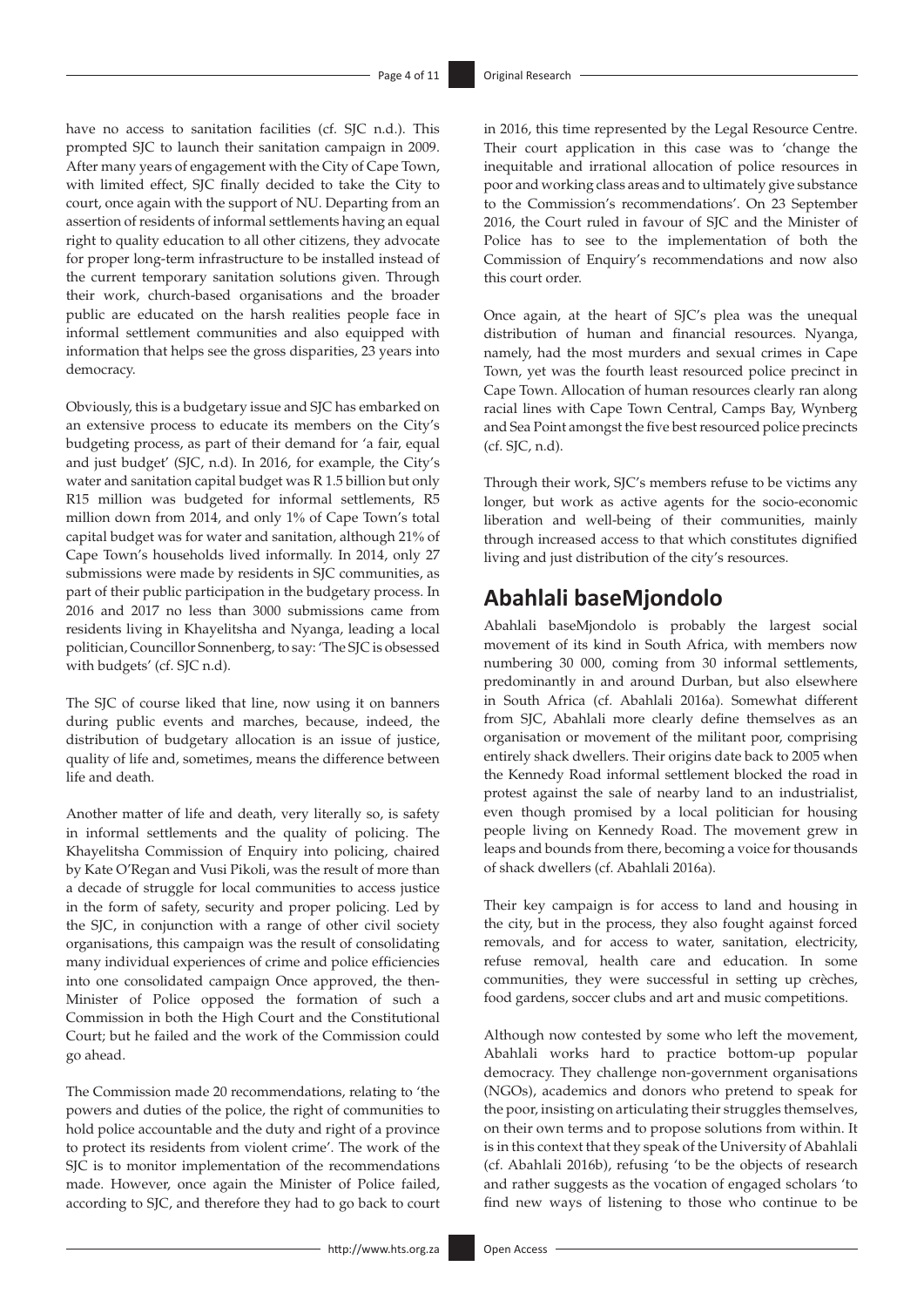have no access to sanitation facilities (cf. SJC n.d.). This prompted SJC to launch their sanitation campaign in 2009. After many years of engagement with the City of Cape Town, with limited effect, SJC finally decided to take the City to court, once again with the support of NU. Departing from an assertion of residents of informal settlements having an equal right to quality education to all other citizens, they advocate for proper long-term infrastructure to be installed instead of the current temporary sanitation solutions given. Through their work, church-based organisations and the broader public are educated on the harsh realities people face in informal settlement communities and also equipped with information that helps see the gross disparities, 23 years into democracy.

Obviously, this is a budgetary issue and SJC has embarked on an extensive process to educate its members on the City's budgeting process, as part of their demand for 'a fair, equal and just budget' (SJC, n.d). In 2016, for example, the City's water and sanitation capital budget was R 1.5 billion but only R15 million was budgeted for informal settlements, R5 million down from 2014, and only 1% of Cape Town's total capital budget was for water and sanitation, although 21% of Cape Town's households lived informally. In 2014, only 27 submissions were made by residents in SJC communities, as part of their public participation in the budgetary process. In 2016 and 2017 no less than 3000 submissions came from residents living in Khayelitsha and Nyanga, leading a local politician, Councillor Sonnenberg, to say: 'The SJC is obsessed with budgets' (cf. SJC n.d).

The SJC of course liked that line, now using it on banners during public events and marches, because, indeed, the distribution of budgetary allocation is an issue of justice, quality of life and, sometimes, means the difference between life and death.

Another matter of life and death, very literally so, is safety in informal settlements and the quality of policing. The Khayelitsha Commission of Enquiry into policing, chaired by Kate O'Regan and Vusi Pikoli, was the result of more than a decade of struggle for local communities to access justice in the form of safety, security and proper policing. Led by the SJC, in conjunction with a range of other civil society organisations, this campaign was the result of consolidating many individual experiences of crime and police efficiencies into one consolidated campaign Once approved, the then-Minister of Police opposed the formation of such a Commission in both the High Court and the Constitutional Court; but he failed and the work of the Commission could go ahead.

The Commission made 20 recommendations, relating to 'the powers and duties of the police, the right of communities to hold police accountable and the duty and right of a province to protect its residents from violent crime'. The work of the SJC is to monitor implementation of the recommendations made. However, once again the Minister of Police failed, according to SJC, and therefore they had to go back to court in 2016, this time represented by the Legal Resource Centre. Their court application in this case was to 'change the inequitable and irrational allocation of police resources in poor and working class areas and to ultimately give substance to the Commission's recommendations'. On 23 September 2016, the Court ruled in favour of SJC and the Minister of Police has to see to the implementation of both the Commission of Enquiry's recommendations and now also this court order.

Once again, at the heart of SJC's plea was the unequal distribution of human and financial resources. Nyanga, namely, had the most murders and sexual crimes in Cape Town, yet was the fourth least resourced police precinct in Cape Town. Allocation of human resources clearly ran along racial lines with Cape Town Central, Camps Bay, Wynberg and Sea Point amongst the five best resourced police precincts (cf. SJC, n.d).

Through their work, SJC's members refuse to be victims any longer, but work as active agents for the socio-economic liberation and well-being of their communities, mainly through increased access to that which constitutes dignified living and just distribution of the city's resources.

# **Abahlali baseMjondolo**

Abahlali baseMjondolo is probably the largest social movement of its kind in South Africa, with members now numbering 30 000, coming from 30 informal settlements, predominantly in and around Durban, but also elsewhere in South Africa (cf. Abahlali 2016a). Somewhat different from SJC, Abahlali more clearly define themselves as an organisation or movement of the militant poor, comprising entirely shack dwellers. Their origins date back to 2005 when the Kennedy Road informal settlement blocked the road in protest against the sale of nearby land to an industrialist, even though promised by a local politician for housing people living on Kennedy Road. The movement grew in leaps and bounds from there, becoming a voice for thousands of shack dwellers (cf. Abahlali 2016a).

Their key campaign is for access to land and housing in the city, but in the process, they also fought against forced removals, and for access to water, sanitation, electricity, refuse removal, health care and education. In some communities, they were successful in setting up crèches, food gardens, soccer clubs and art and music competitions.

Although now contested by some who left the movement, Abahlali works hard to practice bottom-up popular democracy. They challenge non-government organisations (NGOs), academics and donors who pretend to speak for the poor, insisting on articulating their struggles themselves, on their own terms and to propose solutions from within. It is in this context that they speak of the University of Abahlali (cf. Abahlali 2016b), refusing 'to be the objects of research and rather suggests as the vocation of engaged scholars 'to find new ways of listening to those who continue to be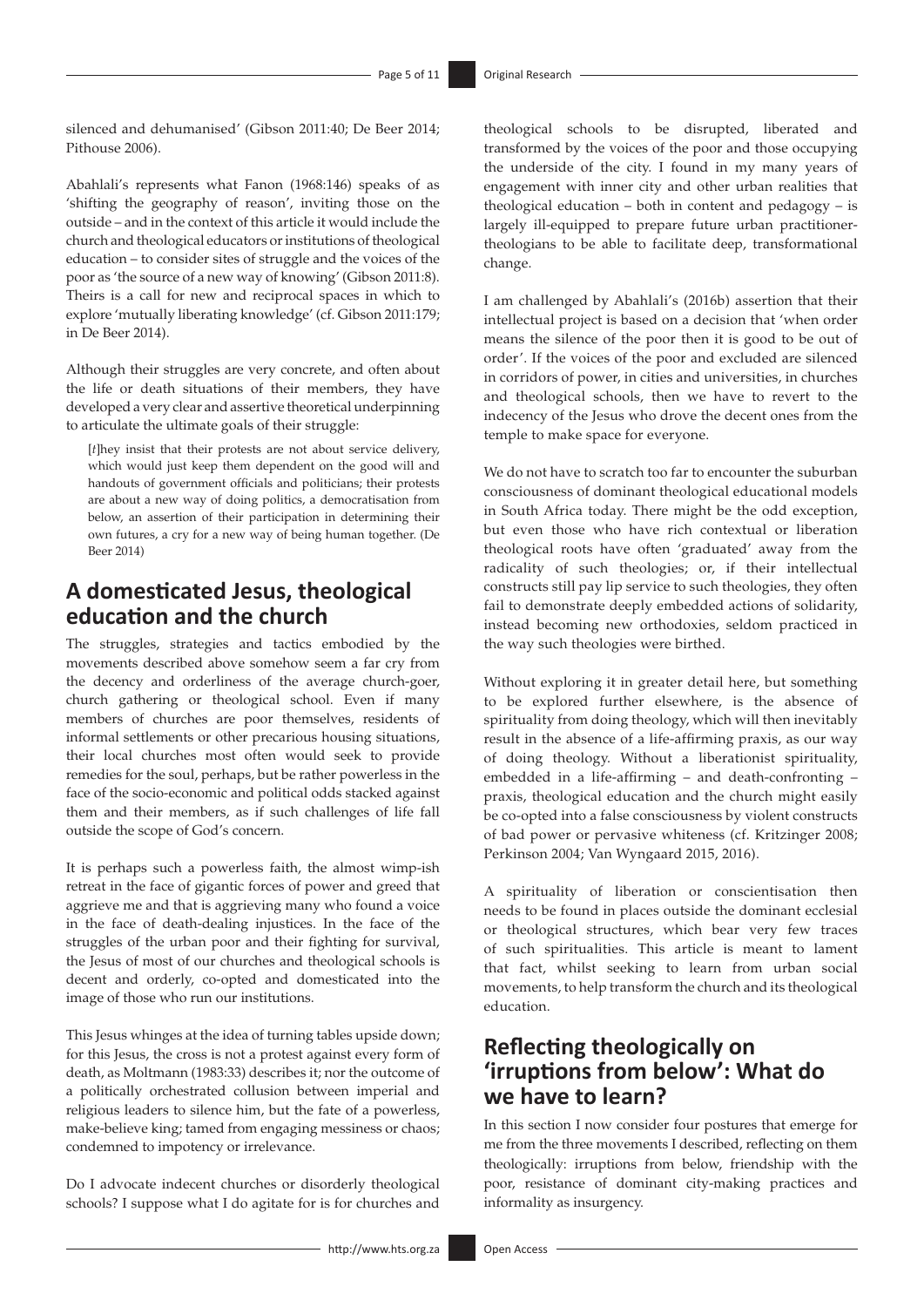silenced and dehumanised' (Gibson 2011:40; De Beer 2014; Pithouse 2006).

Abahlali's represents what Fanon (1968:146) speaks of as 'shifting the geography of reason', inviting those on the outside – and in the context of this article it would include the church and theological educators or institutions of theological education – to consider sites of struggle and the voices of the poor as 'the source of a new way of knowing' (Gibson 2011:8). Theirs is a call for new and reciprocal spaces in which to explore 'mutually liberating knowledge' (cf. Gibson 2011:179; in De Beer 2014).

Although their struggles are very concrete, and often about the life or death situations of their members, they have developed a very clear and assertive theoretical underpinning to articulate the ultimate goals of their struggle:

[*t*]hey insist that their protests are not about service delivery, which would just keep them dependent on the good will and handouts of government officials and politicians; their protests are about a new way of doing politics, a democratisation from below, an assertion of their participation in determining their own futures, a cry for a new way of being human together. (De Beer 2014)

### **A domesticated Jesus, theological education and the church**

The struggles, strategies and tactics embodied by the movements described above somehow seem a far cry from the decency and orderliness of the average church-goer, church gathering or theological school. Even if many members of churches are poor themselves, residents of informal settlements or other precarious housing situations, their local churches most often would seek to provide remedies for the soul, perhaps, but be rather powerless in the face of the socio-economic and political odds stacked against them and their members, as if such challenges of life fall outside the scope of God's concern.

It is perhaps such a powerless faith, the almost wimp-ish retreat in the face of gigantic forces of power and greed that aggrieve me and that is aggrieving many who found a voice in the face of death-dealing injustices. In the face of the struggles of the urban poor and their fighting for survival, the Jesus of most of our churches and theological schools is decent and orderly, co-opted and domesticated into the image of those who run our institutions.

This Jesus whinges at the idea of turning tables upside down; for this Jesus, the cross is not a protest against every form of death, as Moltmann (1983:33) describes it; nor the outcome of a politically orchestrated collusion between imperial and religious leaders to silence him, but the fate of a powerless, make-believe king; tamed from engaging messiness or chaos; condemned to impotency or irrelevance.

Do I advocate indecent churches or disorderly theological schools? I suppose what I do agitate for is for churches and

theological schools to be disrupted, liberated and transformed by the voices of the poor and those occupying the underside of the city. I found in my many years of engagement with inner city and other urban realities that theological education – both in content and pedagogy – is largely ill-equipped to prepare future urban practitionertheologians to be able to facilitate deep, transformational change.

I am challenged by Abahlali's (2016b) assertion that their intellectual project is based on a decision that 'when order means the silence of the poor then it is good to be out of order'. If the voices of the poor and excluded are silenced in corridors of power, in cities and universities, in churches and theological schools, then we have to revert to the indecency of the Jesus who drove the decent ones from the temple to make space for everyone.

We do not have to scratch too far to encounter the suburban consciousness of dominant theological educational models in South Africa today. There might be the odd exception, but even those who have rich contextual or liberation theological roots have often 'graduated' away from the radicality of such theologies; or, if their intellectual constructs still pay lip service to such theologies, they often fail to demonstrate deeply embedded actions of solidarity, instead becoming new orthodoxies, seldom practiced in the way such theologies were birthed.

Without exploring it in greater detail here, but something to be explored further elsewhere, is the absence of spirituality from doing theology, which will then inevitably result in the absence of a life-affirming praxis, as our way of doing theology. Without a liberationist spirituality, embedded in a life-affirming – and death-confronting – praxis, theological education and the church might easily be co-opted into a false consciousness by violent constructs of bad power or pervasive whiteness (cf. Kritzinger 2008; Perkinson 2004; Van Wyngaard 2015, 2016).

A spirituality of liberation or conscientisation then needs to be found in places outside the dominant ecclesial or theological structures, which bear very few traces of such spiritualities. This article is meant to lament that fact, whilst seeking to learn from urban social movements, to help transform the church and its theological education.

# **Reflecting theologically on 'irruptions from below': What do we have to learn?**

In this section I now consider four postures that emerge for me from the three movements I described, reflecting on them theologically: irruptions from below, friendship with the poor, resistance of dominant city-making practices and informality as insurgency.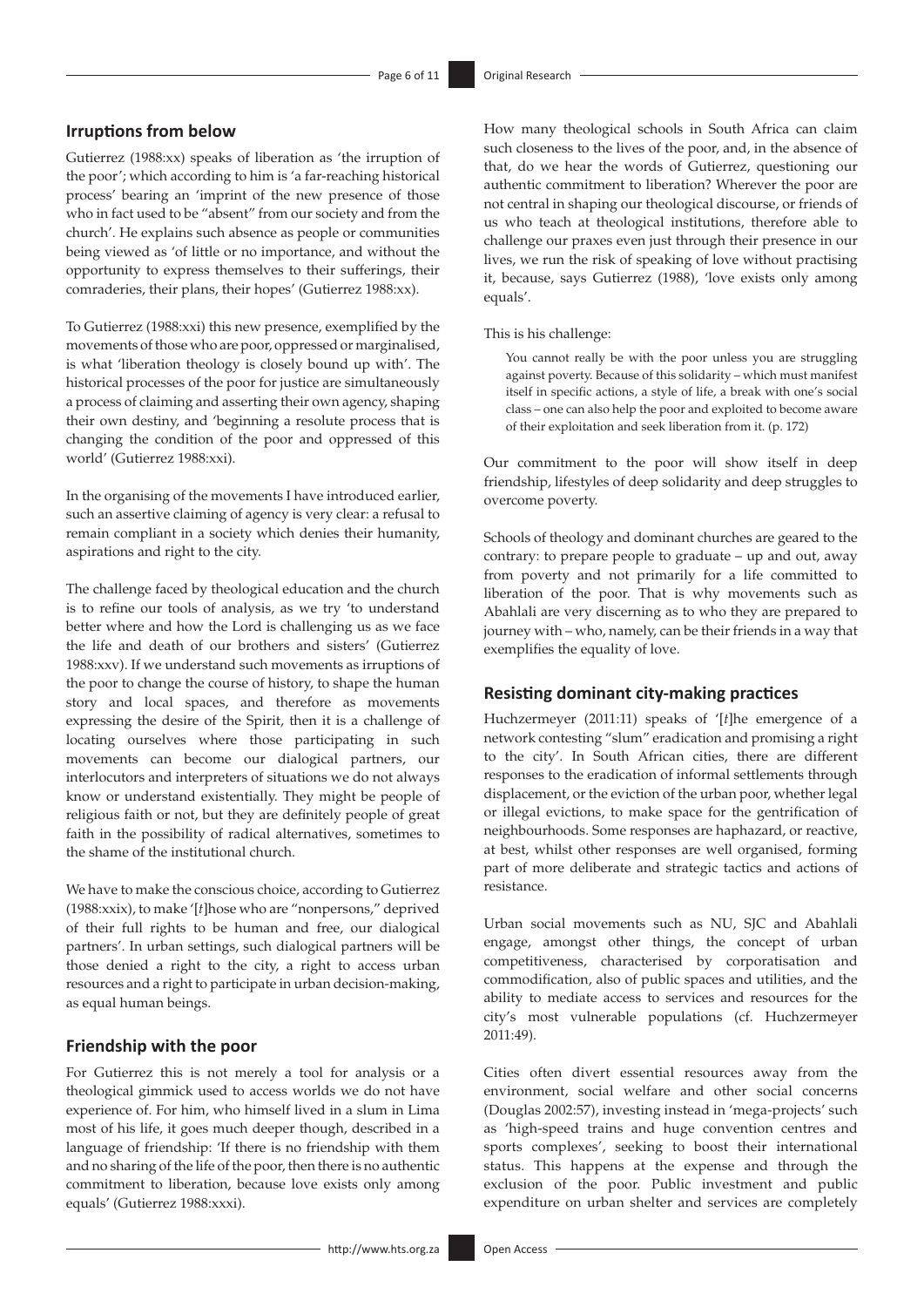#### **Irruptions from below**

Gutierrez (1988:xx) speaks of liberation as 'the irruption of the poor'; which according to him is 'a far-reaching historical process' bearing an 'imprint of the new presence of those who in fact used to be "absent" from our society and from the church'. He explains such absence as people or communities being viewed as 'of little or no importance, and without the opportunity to express themselves to their sufferings, their comraderies, their plans, their hopes' (Gutierrez 1988:xx).

To Gutierrez (1988:xxi) this new presence, exemplified by the movements of those who are poor, oppressed or marginalised, is what 'liberation theology is closely bound up with'. The historical processes of the poor for justice are simultaneously a process of claiming and asserting their own agency, shaping their own destiny, and 'beginning a resolute process that is changing the condition of the poor and oppressed of this world' (Gutierrez 1988:xxi).

In the organising of the movements I have introduced earlier, such an assertive claiming of agency is very clear: a refusal to remain compliant in a society which denies their humanity, aspirations and right to the city.

The challenge faced by theological education and the church is to refine our tools of analysis, as we try 'to understand better where and how the Lord is challenging us as we face the life and death of our brothers and sisters' (Gutierrez 1988:xxv). If we understand such movements as irruptions of the poor to change the course of history, to shape the human story and local spaces, and therefore as movements expressing the desire of the Spirit, then it is a challenge of locating ourselves where those participating in such movements can become our dialogical partners, our interlocutors and interpreters of situations we do not always know or understand existentially. They might be people of religious faith or not, but they are definitely people of great faith in the possibility of radical alternatives, sometimes to the shame of the institutional church.

We have to make the conscious choice, according to Gutierrez (1988:xxix), to make '[*t*]hose who are "nonpersons," deprived of their full rights to be human and free, our dialogical partners'. In urban settings, such dialogical partners will be those denied a right to the city, a right to access urban resources and a right to participate in urban decision-making, as equal human beings.

#### **Friendship with the poor**

For Gutierrez this is not merely a tool for analysis or a theological gimmick used to access worlds we do not have experience of. For him, who himself lived in a slum in Lima most of his life, it goes much deeper though, described in a language of friendship: 'If there is no friendship with them and no sharing of the life of the poor, then there is no authentic commitment to liberation, because love exists only among equals' (Gutierrez 1988:xxxi).

How many theological schools in South Africa can claim such closeness to the lives of the poor, and, in the absence of that, do we hear the words of Gutierrez, questioning our authentic commitment to liberation? Wherever the poor are not central in shaping our theological discourse, or friends of us who teach at theological institutions, therefore able to challenge our praxes even just through their presence in our lives, we run the risk of speaking of love without practising it, because, says Gutierrez (1988), 'love exists only among equals'.

This is his challenge:

You cannot really be with the poor unless you are struggling against poverty. Because of this solidarity – which must manifest itself in specific actions, a style of life, a break with one's social class – one can also help the poor and exploited to become aware of their exploitation and seek liberation from it. (p. 172)

Our commitment to the poor will show itself in deep friendship, lifestyles of deep solidarity and deep struggles to overcome poverty.

Schools of theology and dominant churches are geared to the contrary: to prepare people to graduate – up and out, away from poverty and not primarily for a life committed to liberation of the poor. That is why movements such as Abahlali are very discerning as to who they are prepared to journey with – who, namely, can be their friends in a way that exemplifies the equality of love.

#### **Resisting dominant city-making practices**

Huchzermeyer (2011:11) speaks of '[*t*]he emergence of a network contesting "slum" eradication and promising a right to the city'. In South African cities, there are different responses to the eradication of informal settlements through displacement, or the eviction of the urban poor, whether legal or illegal evictions, to make space for the gentrification of neighbourhoods. Some responses are haphazard, or reactive, at best, whilst other responses are well organised, forming part of more deliberate and strategic tactics and actions of resistance.

Urban social movements such as NU, SJC and Abahlali engage, amongst other things, the concept of urban competitiveness, characterised by corporatisation and commodification, also of public spaces and utilities, and the ability to mediate access to services and resources for the city's most vulnerable populations (cf. Huchzermeyer 2011:49).

Cities often divert essential resources away from the environment, social welfare and other social concerns (Douglas 2002:57), investing instead in 'mega-projects' such as 'high-speed trains and huge convention centres and sports complexes', seeking to boost their international status. This happens at the expense and through the exclusion of the poor. Public investment and public expenditure on urban shelter and services are completely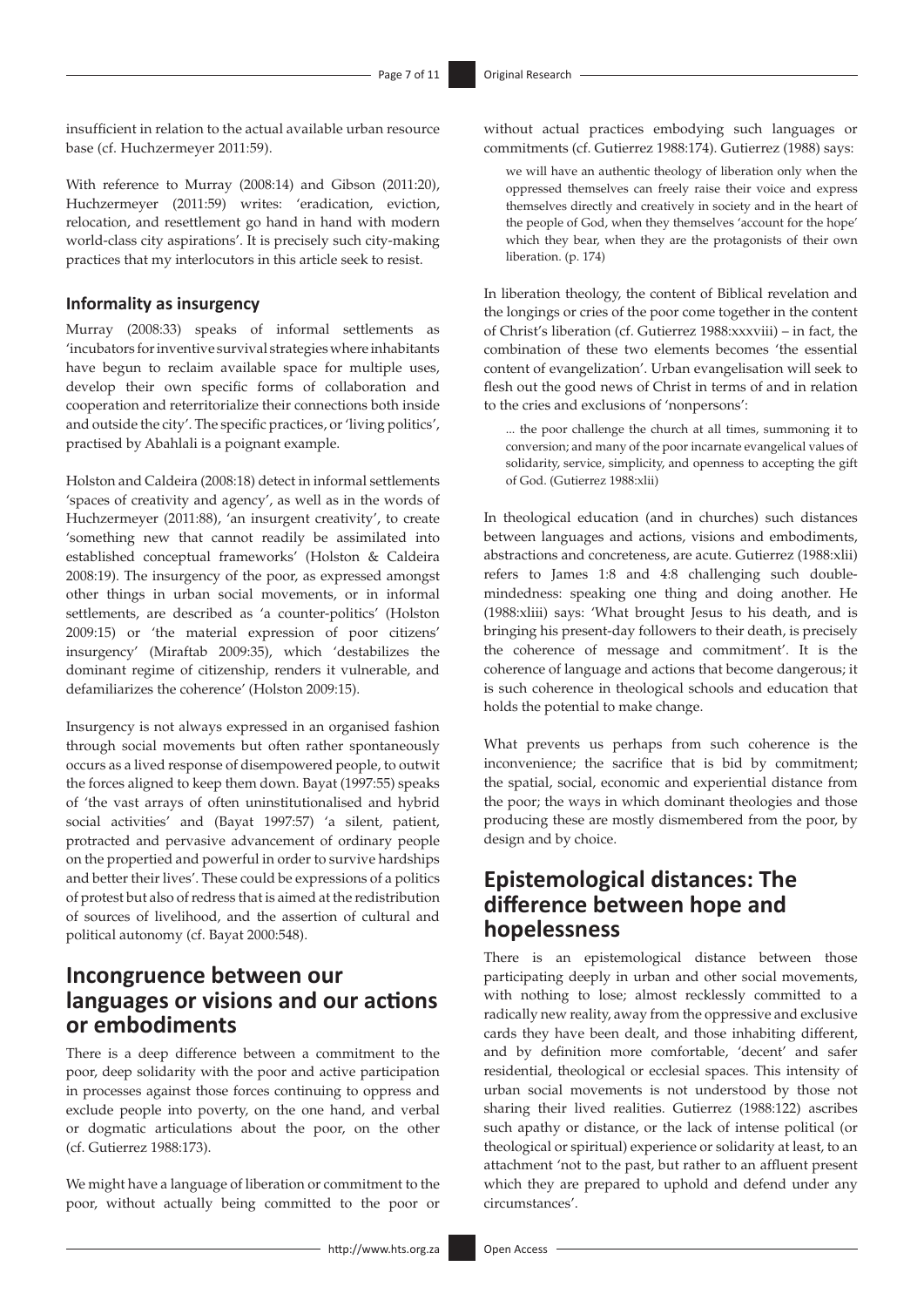insufficient in relation to the actual available urban resource base (cf. Huchzermeyer 2011:59).

With reference to Murray (2008:14) and Gibson (2011:20), Huchzermeyer (2011:59) writes: 'eradication, eviction, relocation, and resettlement go hand in hand with modern world-class city aspirations'. It is precisely such city-making practices that my interlocutors in this article seek to resist.

#### **Informality as insurgency**

Murray (2008:33) speaks of informal settlements as 'incubators for inventive survival strategies where inhabitants have begun to reclaim available space for multiple uses, develop their own specific forms of collaboration and cooperation and reterritorialize their connections both inside and outside the city'. The specific practices, or 'living politics', practised by Abahlali is a poignant example.

Holston and Caldeira (2008:18) detect in informal settlements 'spaces of creativity and agency', as well as in the words of Huchzermeyer (2011:88), 'an insurgent creativity', to create 'something new that cannot readily be assimilated into established conceptual frameworks' (Holston & Caldeira 2008:19). The insurgency of the poor, as expressed amongst other things in urban social movements, or in informal settlements, are described as 'a counter-politics' (Holston 2009:15) or 'the material expression of poor citizens' insurgency' (Miraftab 2009:35), which 'destabilizes the dominant regime of citizenship, renders it vulnerable, and defamiliarizes the coherence' (Holston 2009:15).

Insurgency is not always expressed in an organised fashion through social movements but often rather spontaneously occurs as a lived response of disempowered people, to outwit the forces aligned to keep them down. Bayat (1997:55) speaks of 'the vast arrays of often uninstitutionalised and hybrid social activities' and (Bayat 1997:57) 'a silent, patient, protracted and pervasive advancement of ordinary people on the propertied and powerful in order to survive hardships and better their lives'. These could be expressions of a politics of protest but also of redress that is aimed at the redistribution of sources of livelihood, and the assertion of cultural and political autonomy (cf. Bayat 2000:548).

### **Incongruence between our languages or visions and our actions or embodiments**

There is a deep difference between a commitment to the poor, deep solidarity with the poor and active participation in processes against those forces continuing to oppress and exclude people into poverty, on the one hand, and verbal or dogmatic articulations about the poor, on the other (cf. Gutierrez 1988:173).

We might have a language of liberation or commitment to the poor, without actually being committed to the poor or without actual practices embodying such languages or commitments (cf. Gutierrez 1988:174). Gutierrez (1988) says:

we will have an authentic theology of liberation only when the oppressed themselves can freely raise their voice and express themselves directly and creatively in society and in the heart of the people of God, when they themselves 'account for the hope' which they bear, when they are the protagonists of their own liberation. (p. 174)

In liberation theology, the content of Biblical revelation and the longings or cries of the poor come together in the content of Christ's liberation (cf. Gutierrez 1988:xxxviii) – in fact, the combination of these two elements becomes 'the essential content of evangelization'. Urban evangelisation will seek to flesh out the good news of Christ in terms of and in relation to the cries and exclusions of 'nonpersons':

... the poor challenge the church at all times, summoning it to conversion; and many of the poor incarnate evangelical values of solidarity, service, simplicity, and openness to accepting the gift of God. (Gutierrez 1988:xlii)

In theological education (and in churches) such distances between languages and actions, visions and embodiments, abstractions and concreteness, are acute. Gutierrez (1988:xlii) refers to James 1:8 and 4:8 challenging such doublemindedness: speaking one thing and doing another. He (1988:xliii) says: 'What brought Jesus to his death, and is bringing his present-day followers to their death, is precisely the coherence of message and commitment'. It is the coherence of language and actions that become dangerous; it is such coherence in theological schools and education that holds the potential to make change.

What prevents us perhaps from such coherence is the inconvenience; the sacrifice that is bid by commitment; the spatial, social, economic and experiential distance from the poor; the ways in which dominant theologies and those producing these are mostly dismembered from the poor, by design and by choice.

### **Epistemological distances: The difference between hope and hopelessness**

There is an epistemological distance between those participating deeply in urban and other social movements, with nothing to lose; almost recklessly committed to a radically new reality, away from the oppressive and exclusive cards they have been dealt, and those inhabiting different, and by definition more comfortable, 'decent' and safer residential, theological or ecclesial spaces. This intensity of urban social movements is not understood by those not sharing their lived realities. Gutierrez (1988:122) ascribes such apathy or distance, or the lack of intense political (or theological or spiritual) experience or solidarity at least, to an attachment 'not to the past, but rather to an affluent present which they are prepared to uphold and defend under any circumstances'.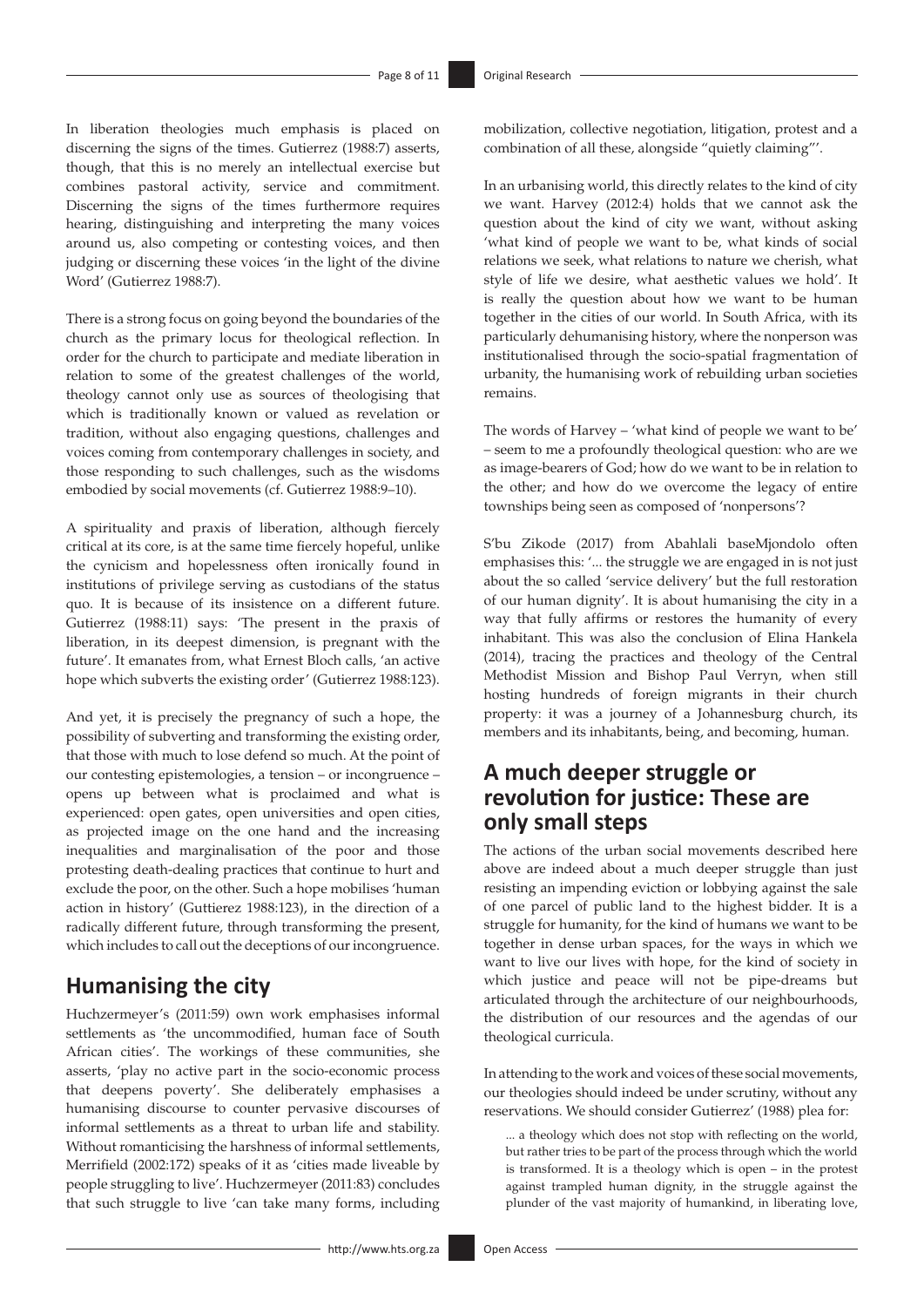In liberation theologies much emphasis is placed on discerning the signs of the times. Gutierrez (1988:7) asserts, though, that this is no merely an intellectual exercise but combines pastoral activity, service and commitment. Discerning the signs of the times furthermore requires hearing, distinguishing and interpreting the many voices around us, also competing or contesting voices, and then judging or discerning these voices 'in the light of the divine Word' (Gutierrez 1988:7).

There is a strong focus on going beyond the boundaries of the church as the primary locus for theological reflection. In order for the church to participate and mediate liberation in relation to some of the greatest challenges of the world, theology cannot only use as sources of theologising that which is traditionally known or valued as revelation or tradition, without also engaging questions, challenges and voices coming from contemporary challenges in society, and those responding to such challenges, such as the wisdoms embodied by social movements (cf. Gutierrez 1988:9–10).

A spirituality and praxis of liberation, although fiercely critical at its core, is at the same time fiercely hopeful, unlike the cynicism and hopelessness often ironically found in institutions of privilege serving as custodians of the status quo. It is because of its insistence on a different future. Gutierrez (1988:11) says: 'The present in the praxis of liberation, in its deepest dimension, is pregnant with the future'. It emanates from, what Ernest Bloch calls, 'an active hope which subverts the existing order' (Gutierrez 1988:123).

And yet, it is precisely the pregnancy of such a hope, the possibility of subverting and transforming the existing order, that those with much to lose defend so much. At the point of our contesting epistemologies, a tension – or incongruence – opens up between what is proclaimed and what is experienced: open gates, open universities and open cities, as projected image on the one hand and the increasing inequalities and marginalisation of the poor and those protesting death-dealing practices that continue to hurt and exclude the poor, on the other. Such a hope mobilises 'human action in history' (Guttierez 1988:123), in the direction of a radically different future, through transforming the present, which includes to call out the deceptions of our incongruence.

### **Humanising the city**

Huchzermeyer's (2011:59) own work emphasises informal settlements as 'the uncommodified, human face of South African cities'. The workings of these communities, she asserts, 'play no active part in the socio-economic process that deepens poverty'. She deliberately emphasises a humanising discourse to counter pervasive discourses of informal settlements as a threat to urban life and stability. Without romanticising the harshness of informal settlements, Merrifield (2002:172) speaks of it as 'cities made liveable by people struggling to live'. Huchzermeyer (2011:83) concludes that such struggle to live 'can take many forms, including

mobilization, collective negotiation, litigation, protest and a combination of all these, alongside "quietly claiming"'.

In an urbanising world, this directly relates to the kind of city we want. Harvey (2012:4) holds that we cannot ask the question about the kind of city we want, without asking 'what kind of people we want to be, what kinds of social relations we seek, what relations to nature we cherish, what style of life we desire, what aesthetic values we hold'. It is really the question about how we want to be human together in the cities of our world. In South Africa, with its particularly dehumanising history, where the nonperson was institutionalised through the socio-spatial fragmentation of urbanity, the humanising work of rebuilding urban societies remains.

The words of Harvey – 'what kind of people we want to be' – seem to me a profoundly theological question: who are we as image-bearers of God; how do we want to be in relation to the other; and how do we overcome the legacy of entire townships being seen as composed of 'nonpersons'?

S'bu Zikode (2017) from Abahlali baseMjondolo often emphasises this: '... the struggle we are engaged in is not just about the so called 'service delivery' but the full restoration of our human dignity'. It is about humanising the city in a way that fully affirms or restores the humanity of every inhabitant. This was also the conclusion of Elina Hankela (2014), tracing the practices and theology of the Central Methodist Mission and Bishop Paul Verryn, when still hosting hundreds of foreign migrants in their church property: it was a journey of a Johannesburg church, its members and its inhabitants, being, and becoming, human.

### **A much deeper struggle or revolution for justice: These are only small steps**

The actions of the urban social movements described here above are indeed about a much deeper struggle than just resisting an impending eviction or lobbying against the sale of one parcel of public land to the highest bidder. It is a struggle for humanity, for the kind of humans we want to be together in dense urban spaces, for the ways in which we want to live our lives with hope, for the kind of society in which justice and peace will not be pipe-dreams but articulated through the architecture of our neighbourhoods, the distribution of our resources and the agendas of our theological curricula.

In attending to the work and voices of these social movements, our theologies should indeed be under scrutiny, without any reservations. We should consider Gutierrez' (1988) plea for:

... a theology which does not stop with reflecting on the world, but rather tries to be part of the process through which the world is transformed. It is a theology which is open – in the protest against trampled human dignity, in the struggle against the plunder of the vast majority of humankind, in liberating love,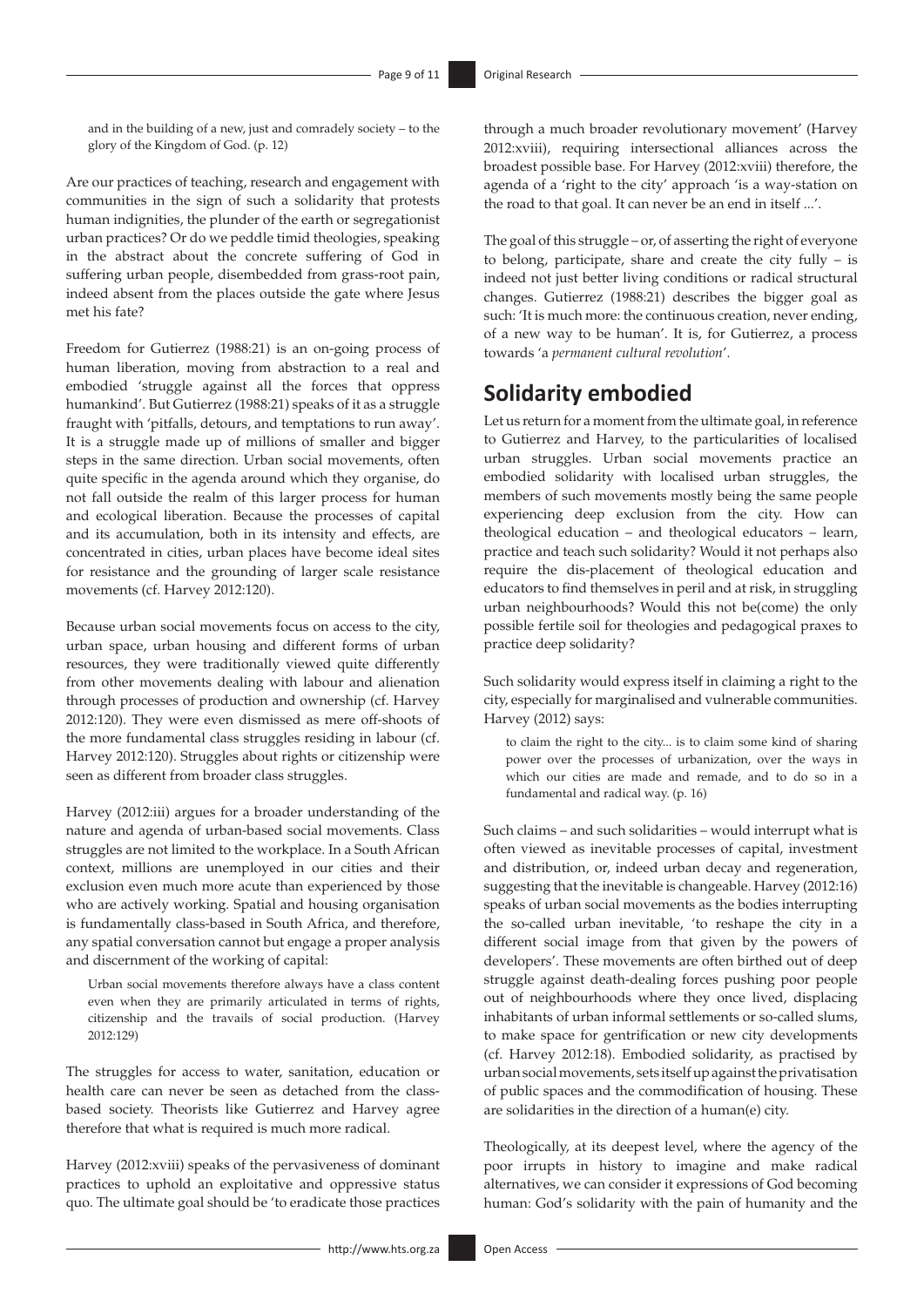and in the building of a new, just and comradely society – to the glory of the Kingdom of God. (p. 12)

Are our practices of teaching, research and engagement with communities in the sign of such a solidarity that protests human indignities, the plunder of the earth or segregationist urban practices? Or do we peddle timid theologies, speaking in the abstract about the concrete suffering of God in suffering urban people, disembedded from grass-root pain, indeed absent from the places outside the gate where Jesus met his fate?

Freedom for Gutierrez (1988:21) is an on-going process of human liberation, moving from abstraction to a real and embodied 'struggle against all the forces that oppress humankind'. But Gutierrez (1988:21) speaks of it as a struggle fraught with 'pitfalls, detours, and temptations to run away'. It is a struggle made up of millions of smaller and bigger steps in the same direction. Urban social movements, often quite specific in the agenda around which they organise, do not fall outside the realm of this larger process for human and ecological liberation. Because the processes of capital and its accumulation, both in its intensity and effects, are concentrated in cities, urban places have become ideal sites for resistance and the grounding of larger scale resistance movements (cf. Harvey 2012:120).

Because urban social movements focus on access to the city, urban space, urban housing and different forms of urban resources, they were traditionally viewed quite differently from other movements dealing with labour and alienation through processes of production and ownership (cf. Harvey 2012:120). They were even dismissed as mere off-shoots of the more fundamental class struggles residing in labour (cf. Harvey 2012:120). Struggles about rights or citizenship were seen as different from broader class struggles.

Harvey (2012:iii) argues for a broader understanding of the nature and agenda of urban-based social movements. Class struggles are not limited to the workplace. In a South African context, millions are unemployed in our cities and their exclusion even much more acute than experienced by those who are actively working. Spatial and housing organisation is fundamentally class-based in South Africa, and therefore, any spatial conversation cannot but engage a proper analysis and discernment of the working of capital:

Urban social movements therefore always have a class content even when they are primarily articulated in terms of rights, citizenship and the travails of social production. (Harvey 2012:129)

The struggles for access to water, sanitation, education or health care can never be seen as detached from the classbased society. Theorists like Gutierrez and Harvey agree therefore that what is required is much more radical.

Harvey (2012:xviii) speaks of the pervasiveness of dominant practices to uphold an exploitative and oppressive status quo. The ultimate goal should be 'to eradicate those practices

through a much broader revolutionary movement' (Harvey 2012:xviii), requiring intersectional alliances across the broadest possible base. For Harvey (2012:xviii) therefore, the agenda of a 'right to the city' approach 'is a way-station on the road to that goal. It can never be an end in itself ...'.

The goal of this struggle – or, of asserting the right of everyone to belong, participate, share and create the city fully – is indeed not just better living conditions or radical structural changes. Gutierrez (1988:21) describes the bigger goal as such: 'It is much more: the continuous creation, never ending, of a new way to be human'. It is, for Gutierrez, a process towards 'a *permanent cultural revolution*'.

### **Solidarity embodied**

Let us return for a moment from the ultimate goal, in reference to Gutierrez and Harvey, to the particularities of localised urban struggles. Urban social movements practice an embodied solidarity with localised urban struggles, the members of such movements mostly being the same people experiencing deep exclusion from the city. How can theological education – and theological educators – learn, practice and teach such solidarity? Would it not perhaps also require the dis-placement of theological education and educators to find themselves in peril and at risk, in struggling urban neighbourhoods? Would this not be(come) the only possible fertile soil for theologies and pedagogical praxes to practice deep solidarity?

Such solidarity would express itself in claiming a right to the city, especially for marginalised and vulnerable communities. Harvey (2012) says:

to claim the right to the city... is to claim some kind of sharing power over the processes of urbanization, over the ways in which our cities are made and remade, and to do so in a fundamental and radical way. (p. 16)

Such claims – and such solidarities – would interrupt what is often viewed as inevitable processes of capital, investment and distribution, or, indeed urban decay and regeneration, suggesting that the inevitable is changeable. Harvey (2012:16) speaks of urban social movements as the bodies interrupting the so-called urban inevitable, 'to reshape the city in a different social image from that given by the powers of developers'. These movements are often birthed out of deep struggle against death-dealing forces pushing poor people out of neighbourhoods where they once lived, displacing inhabitants of urban informal settlements or so-called slums, to make space for gentrification or new city developments (cf. Harvey 2012:18). Embodied solidarity, as practised by urban social movements, sets itself up against the privatisation of public spaces and the commodification of housing. These are solidarities in the direction of a human(e) city.

Theologically, at its deepest level, where the agency of the poor irrupts in history to imagine and make radical alternatives, we can consider it expressions of God becoming human: God's solidarity with the pain of humanity and the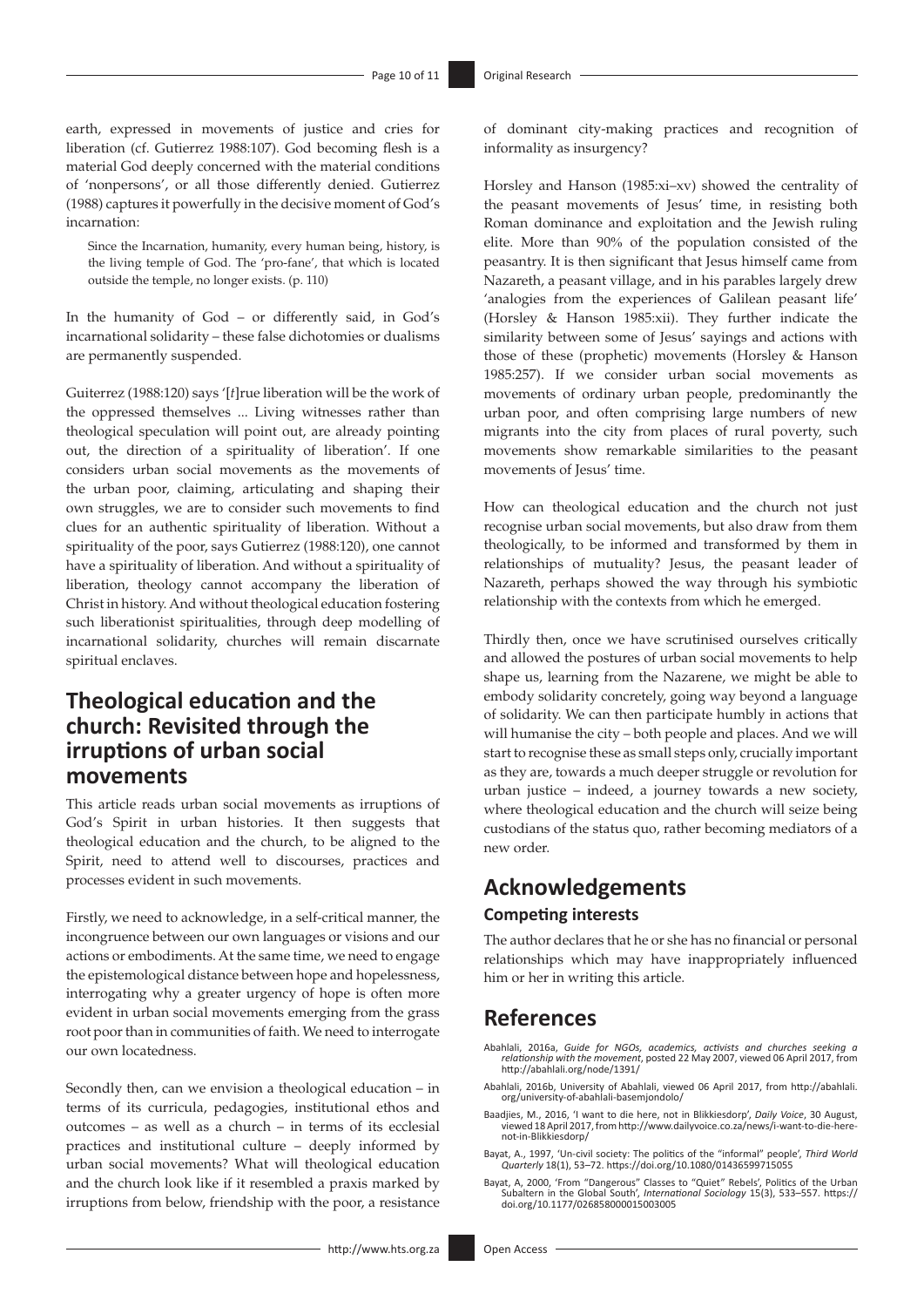earth, expressed in movements of justice and cries for liberation (cf. Gutierrez 1988:107). God becoming flesh is a material God deeply concerned with the material conditions of 'nonpersons', or all those differently denied. Gutierrez (1988) captures it powerfully in the decisive moment of God's incarnation:

Since the Incarnation, humanity, every human being, history, is the living temple of God. The 'pro-fane', that which is located outside the temple, no longer exists. (p. 110)

In the humanity of God – or differently said, in God's incarnational solidarity – these false dichotomies or dualisms are permanently suspended.

Guiterrez (1988:120) says '[*t*]rue liberation will be the work of the oppressed themselves ... Living witnesses rather than theological speculation will point out, are already pointing out, the direction of a spirituality of liberation'. If one considers urban social movements as the movements of the urban poor, claiming, articulating and shaping their own struggles, we are to consider such movements to find clues for an authentic spirituality of liberation. Without a spirituality of the poor, says Gutierrez (1988:120), one cannot have a spirituality of liberation. And without a spirituality of liberation, theology cannot accompany the liberation of Christ in history. And without theological education fostering such liberationist spiritualities, through deep modelling of incarnational solidarity, churches will remain discarnate spiritual enclaves.

# **Theological education and the church: Revisited through the irruptions of urban social movements**

This article reads urban social movements as irruptions of God's Spirit in urban histories. It then suggests that theological education and the church, to be aligned to the Spirit, need to attend well to discourses, practices and processes evident in such movements.

Firstly, we need to acknowledge, in a self-critical manner, the incongruence between our own languages or visions and our actions or embodiments. At the same time, we need to engage the epistemological distance between hope and hopelessness, interrogating why a greater urgency of hope is often more evident in urban social movements emerging from the grass root poor than in communities of faith. We need to interrogate our own locatedness.

Secondly then, can we envision a theological education – in terms of its curricula, pedagogies, institutional ethos and outcomes – as well as a church – in terms of its ecclesial practices and institutional culture – deeply informed by urban social movements? What will theological education and the church look like if it resembled a praxis marked by irruptions from below, friendship with the poor, a resistance

<http://www.hts.org.za> Open Access

of dominant city-making practices and recognition of informality as insurgency?

Horsley and Hanson (1985:xi–xv) showed the centrality of the peasant movements of Jesus' time, in resisting both Roman dominance and exploitation and the Jewish ruling elite. More than 90% of the population consisted of the peasantry. It is then significant that Jesus himself came from Nazareth, a peasant village, and in his parables largely drew 'analogies from the experiences of Galilean peasant life' (Horsley & Hanson 1985:xii). They further indicate the similarity between some of Jesus' sayings and actions with those of these (prophetic) movements (Horsley & Hanson 1985:257). If we consider urban social movements as movements of ordinary urban people, predominantly the urban poor, and often comprising large numbers of new migrants into the city from places of rural poverty, such movements show remarkable similarities to the peasant movements of Jesus' time.

How can theological education and the church not just recognise urban social movements, but also draw from them theologically, to be informed and transformed by them in relationships of mutuality? Jesus, the peasant leader of Nazareth, perhaps showed the way through his symbiotic relationship with the contexts from which he emerged.

Thirdly then, once we have scrutinised ourselves critically and allowed the postures of urban social movements to help shape us, learning from the Nazarene, we might be able to embody solidarity concretely, going way beyond a language of solidarity. We can then participate humbly in actions that will humanise the city – both people and places. And we will start to recognise these as small steps only, crucially important as they are, towards a much deeper struggle or revolution for urban justice – indeed, a journey towards a new society, where theological education and the church will seize being custodians of the status quo, rather becoming mediators of a new order.

# **Acknowledgements Competing interests**

The author declares that he or she has no financial or personal relationships which may have inappropriately influenced him or her in writing this article.

### **References**

- Abahlali, 2016a, *Guide for NGOs, academics, activists and churches seeking a relationship with the movement*, posted 22 May 2007, viewed 06 April 2017, from <http://abahlali.org/node/1391/>
- Abahlali, 2016b, University of Abahlali, viewed 06 April 2017, from [http://abahlali.](http://abahlali.org/university-of-abahlali-basemjondolo/) [org/university-of-abahlali-basemjondolo/](http://abahlali.org/university-of-abahlali-basemjondolo/)
- Baadjies, M., 2016, 'I want to die here, not in Blikkiesdorp', *Daily Voice*, 30 August, viewed 18 April 2017, from [http://www.dailyvoice.co.za/news/i-want-to-die-here](http://www.dailyvoice.co.za/news/i-want-to-die-here-not-in-Blikkiesdorp/)[not-in-Blikkiesdorp/](http://www.dailyvoice.co.za/news/i-want-to-die-here-not-in-Blikkiesdorp/)
- Bayat, A., 1997, 'Un-civil society: The politics of the "informal" people', *Third World Quarterly* 18(1), 53–72. <https://doi.org/10.1080/01436599715055>
- Bayat, A, 2000, 'From "Dangerous" Classes to "Quiet" Rebels', Politics of the Urban Subaltern in the Global South', *International Sociology* 15(3), 533–557. [https://](https://doi.org/10.1177/026858000015003005)<br>[doi.org/10.1177/026858000015003005](https://doi.org/10.1177/026858000015003005)